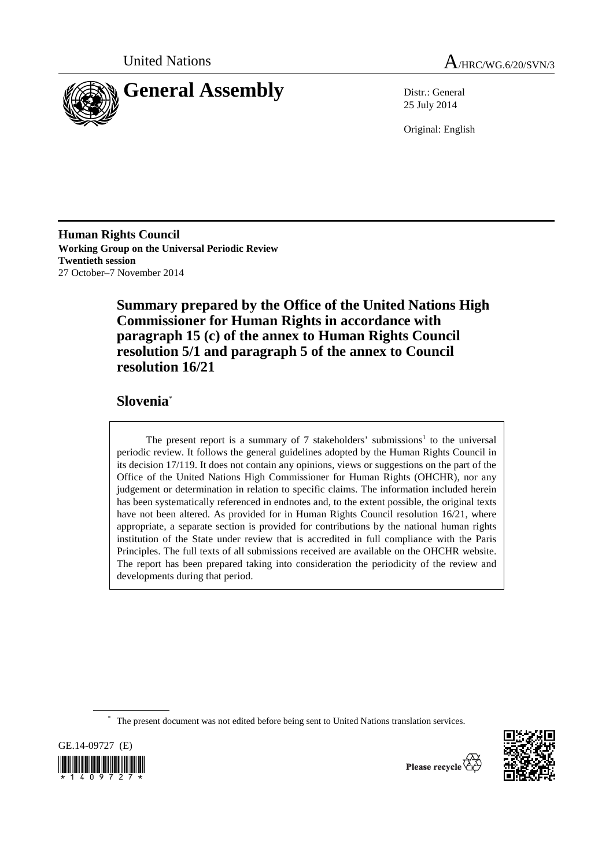



25 July 2014

Original: English

**Human Rights Council Working Group on the Universal Periodic Review Twentieth session**  27 October–7 November 2014

> **Summary prepared by the Office of the United Nations High Commissioner for Human Rights in accordance with paragraph 15 (c) of the annex to Human Rights Council resolution 5/1 and paragraph 5 of the annex to Council resolution 16/21**

# **Slovenia**\*

The present report is a summary of  $7$  stakeholders' submissions<sup>1</sup> to the universal periodic review. It follows the general guidelines adopted by the Human Rights Council in its decision 17/119. It does not contain any opinions, views or suggestions on the part of the Office of the United Nations High Commissioner for Human Rights (OHCHR), nor any judgement or determination in relation to specific claims. The information included herein has been systematically referenced in endnotes and, to the extent possible, the original texts have not been altered. As provided for in Human Rights Council resolution 16/21, where appropriate, a separate section is provided for contributions by the national human rights institution of the State under review that is accredited in full compliance with the Paris Principles. The full texts of all submissions received are available on the OHCHR website. The report has been prepared taking into consideration the periodicity of the review and developments during that period.

\* The present document was not edited before being sent to United Nations translation services.





Please recycle  $\overline{\overset{\triangle}{\bigcirc}}$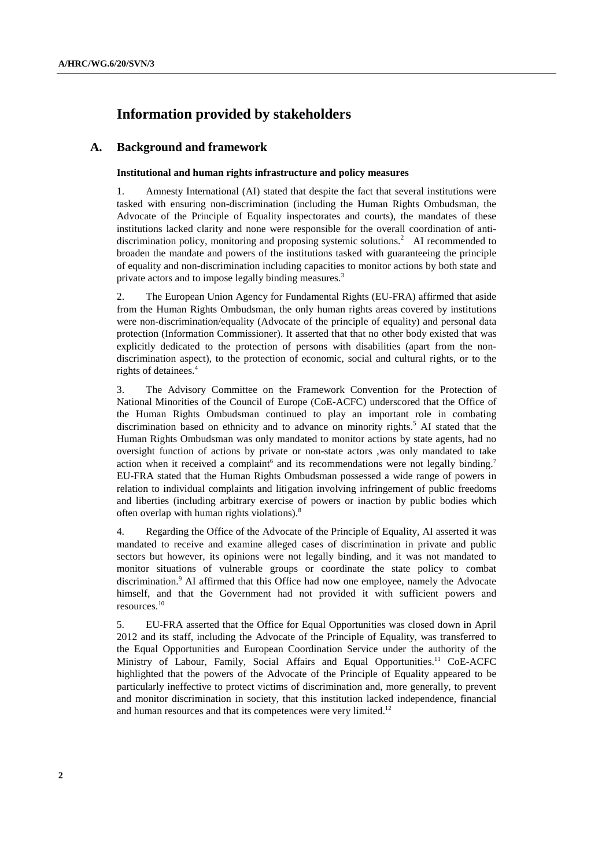# **Information provided by stakeholders**

## **A. Background and framework**

#### **Institutional and human rights infrastructure and policy measures**

1. Amnesty International (AI) stated that despite the fact that several institutions were tasked with ensuring non-discrimination (including the Human Rights Ombudsman, the Advocate of the Principle of Equality inspectorates and courts), the mandates of these institutions lacked clarity and none were responsible for the overall coordination of antidiscrimination policy, monitoring and proposing systemic solutions.<sup>2</sup> AI recommended to broaden the mandate and powers of the institutions tasked with guaranteeing the principle of equality and non-discrimination including capacities to monitor actions by both state and private actors and to impose legally binding measures.<sup>3</sup>

2. The European Union Agency for Fundamental Rights (EU-FRA) affirmed that aside from the Human Rights Ombudsman, the only human rights areas covered by institutions were non-discrimination/equality (Advocate of the principle of equality) and personal data protection (Information Commissioner). It asserted that that no other body existed that was explicitly dedicated to the protection of persons with disabilities (apart from the nondiscrimination aspect), to the protection of economic, social and cultural rights, or to the rights of detainees.<sup>4</sup>

3. The Advisory Committee on the Framework Convention for the Protection of National Minorities of the Council of Europe (CoE-ACFC) underscored that the Office of the Human Rights Ombudsman continued to play an important role in combating discrimination based on ethnicity and to advance on minority rights.<sup>5</sup> AI stated that the Human Rights Ombudsman was only mandated to monitor actions by state agents, had no oversight function of actions by private or non-state actors ,was only mandated to take action when it received a complaint and its recommendations were not legally binding.<sup>7</sup> EU-FRA stated that the Human Rights Ombudsman possessed a wide range of powers in relation to individual complaints and litigation involving infringement of public freedoms and liberties (including arbitrary exercise of powers or inaction by public bodies which often overlap with human rights violations).8

4. Regarding the Office of the Advocate of the Principle of Equality, AI asserted it was mandated to receive and examine alleged cases of discrimination in private and public sectors but however, its opinions were not legally binding, and it was not mandated to monitor situations of vulnerable groups or coordinate the state policy to combat discrimination.<sup>9</sup> AI affirmed that this Office had now one employee, namely the Advocate himself, and that the Government had not provided it with sufficient powers and resources.10

5. EU-FRA asserted that the Office for Equal Opportunities was closed down in April 2012 and its staff, including the Advocate of the Principle of Equality, was transferred to the Equal Opportunities and European Coordination Service under the authority of the Ministry of Labour, Family, Social Affairs and Equal Opportunities.<sup>11</sup> CoE-ACFC highlighted that the powers of the Advocate of the Principle of Equality appeared to be particularly ineffective to protect victims of discrimination and, more generally, to prevent and monitor discrimination in society, that this institution lacked independence, financial and human resources and that its competences were very limited.<sup>12</sup>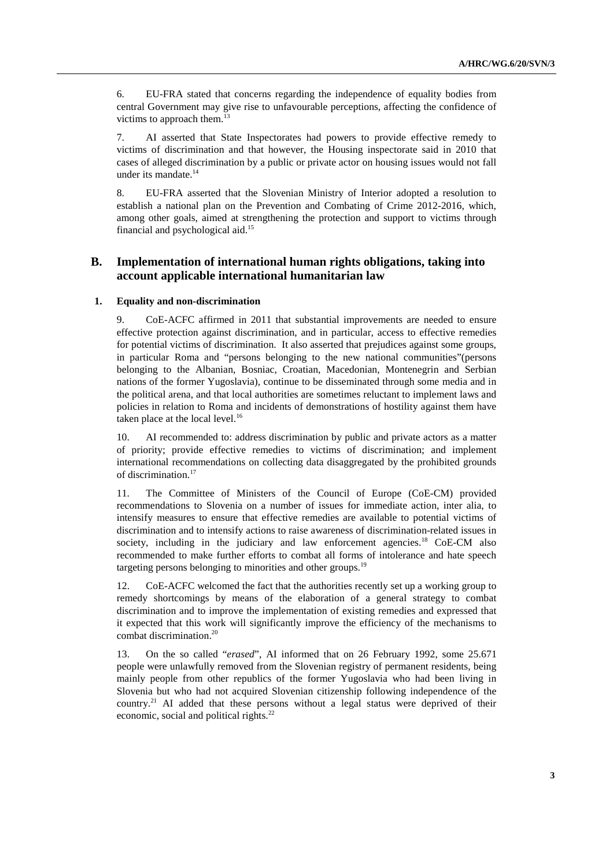6. EU-FRA stated that concerns regarding the independence of equality bodies from central Government may give rise to unfavourable perceptions, affecting the confidence of victims to approach them.<sup>13</sup>

7. AI asserted that State Inspectorates had powers to provide effective remedy to victims of discrimination and that however, the Housing inspectorate said in 2010 that cases of alleged discrimination by a public or private actor on housing issues would not fall under its mandate.<sup>14</sup>

8. EU-FRA asserted that the Slovenian Ministry of Interior adopted a resolution to establish a national plan on the Prevention and Combating of Crime 2012-2016, which, among other goals, aimed at strengthening the protection and support to victims through financial and psychological aid.15

# **B. Implementation of international human rights obligations, taking into account applicable international humanitarian law**

### **1. Equality and non-discrimination**

9. CoE-ACFC affirmed in 2011 that substantial improvements are needed to ensure effective protection against discrimination, and in particular, access to effective remedies for potential victims of discrimination. It also asserted that prejudices against some groups, in particular Roma and "persons belonging to the new national communities"(persons belonging to the Albanian, Bosniac, Croatian, Macedonian, Montenegrin and Serbian nations of the former Yugoslavia), continue to be disseminated through some media and in the political arena, and that local authorities are sometimes reluctant to implement laws and policies in relation to Roma and incidents of demonstrations of hostility against them have taken place at the local level.<sup>16</sup>

10. AI recommended to: address discrimination by public and private actors as a matter of priority; provide effective remedies to victims of discrimination; and implement international recommendations on collecting data disaggregated by the prohibited grounds of discrimination.<sup>17</sup>

11. The Committee of Ministers of the Council of Europe (CoE-CM) provided recommendations to Slovenia on a number of issues for immediate action, inter alia, to intensify measures to ensure that effective remedies are available to potential victims of discrimination and to intensify actions to raise awareness of discrimination-related issues in society, including in the judiciary and law enforcement agencies.<sup>18</sup> CoE-CM also recommended to make further efforts to combat all forms of intolerance and hate speech targeting persons belonging to minorities and other groups.<sup>19</sup>

12. CoE-ACFC welcomed the fact that the authorities recently set up a working group to remedy shortcomings by means of the elaboration of a general strategy to combat discrimination and to improve the implementation of existing remedies and expressed that it expected that this work will significantly improve the efficiency of the mechanisms to combat discrimination.20

13. On the so called "*erased*", AI informed that on 26 February 1992, some 25.671 people were unlawfully removed from the Slovenian registry of permanent residents, being mainly people from other republics of the former Yugoslavia who had been living in Slovenia but who had not acquired Slovenian citizenship following independence of the country.21 AI added that these persons without a legal status were deprived of their economic, social and political rights.<sup>22</sup>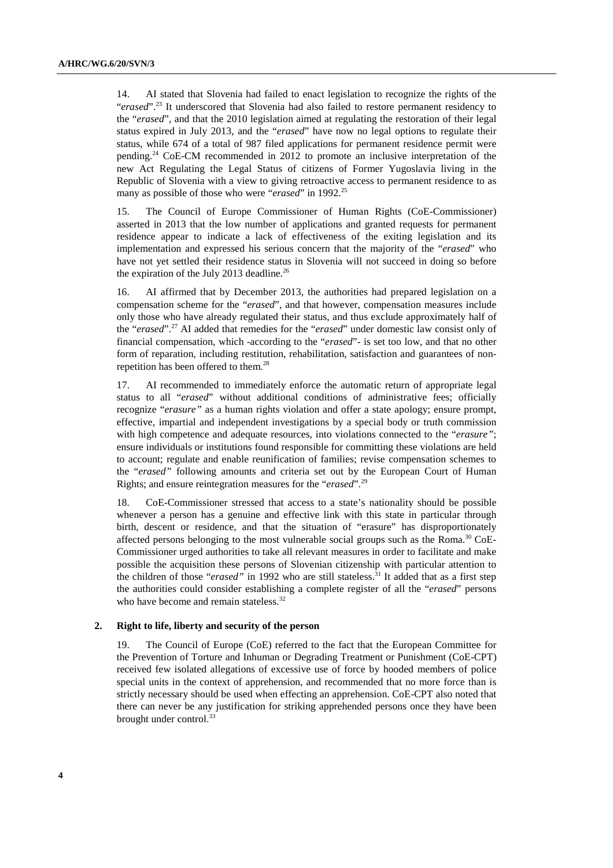14. AI stated that Slovenia had failed to enact legislation to recognize the rights of the "*erased*".<sup>23</sup> It underscored that Slovenia had also failed to restore permanent residency to the "*erased*", and that the 2010 legislation aimed at regulating the restoration of their legal status expired in July 2013, and the "*erased*" have now no legal options to regulate their status, while 674 of a total of 987 filed applications for permanent residence permit were pending.<sup>24</sup> CoE-CM recommended in 2012 to promote an inclusive interpretation of the new Act Regulating the Legal Status of citizens of Former Yugoslavia living in the Republic of Slovenia with a view to giving retroactive access to permanent residence to as many as possible of those who were "*erased*" in 1992.<sup>25</sup>

15. The Council of Europe Commissioner of Human Rights (CoE-Commissioner) asserted in 2013 that the low number of applications and granted requests for permanent residence appear to indicate a lack of effectiveness of the exiting legislation and its implementation and expressed his serious concern that the majority of the "*erased*" who have not yet settled their residence status in Slovenia will not succeed in doing so before the expiration of the July 2013 deadline.<sup>26</sup>

16. AI affirmed that by December 2013, the authorities had prepared legislation on a compensation scheme for the "*erased*", and that however, compensation measures include only those who have already regulated their status, and thus exclude approximately half of the "*erased*".27 AI added that remedies for the "*erased*" under domestic law consist only of financial compensation, which -according to the "*erased*"- is set too low, and that no other form of reparation, including restitution, rehabilitation, satisfaction and guarantees of nonrepetition has been offered to them.28

17. AI recommended to immediately enforce the automatic return of appropriate legal status to all "*erased*" without additional conditions of administrative fees; officially recognize "*erasure"* as a human rights violation and offer a state apology; ensure prompt, effective, impartial and independent investigations by a special body or truth commission with high competence and adequate resources, into violations connected to the "*erasure"*; ensure individuals or institutions found responsible for committing these violations are held to account; regulate and enable reunification of families; revise compensation schemes to the "*erased"* following amounts and criteria set out by the European Court of Human Rights; and ensure reintegration measures for the "*erased*".29

18. CoE-Commissioner stressed that access to a state's nationality should be possible whenever a person has a genuine and effective link with this state in particular through birth, descent or residence, and that the situation of "erasure" has disproportionately affected persons belonging to the most vulnerable social groups such as the Roma. $^{30}$  CoE-Commissioner urged authorities to take all relevant measures in order to facilitate and make possible the acquisition these persons of Slovenian citizenship with particular attention to the children of those "*erased*" in 1992 who are still stateless.<sup>31</sup> It added that as a first step the authorities could consider establishing a complete register of all the "*erased*" persons who have become and remain stateless.<sup>32</sup>

#### **2. Right to life, liberty and security of the person**

19. The Council of Europe (CoE) referred to the fact that the European Committee for the Prevention of Torture and Inhuman or Degrading Treatment or Punishment (CoE-CPT) received few isolated allegations of excessive use of force by hooded members of police special units in the context of apprehension, and recommended that no more force than is strictly necessary should be used when effecting an apprehension. CoE-CPT also noted that there can never be any justification for striking apprehended persons once they have been brought under control.<sup>3</sup>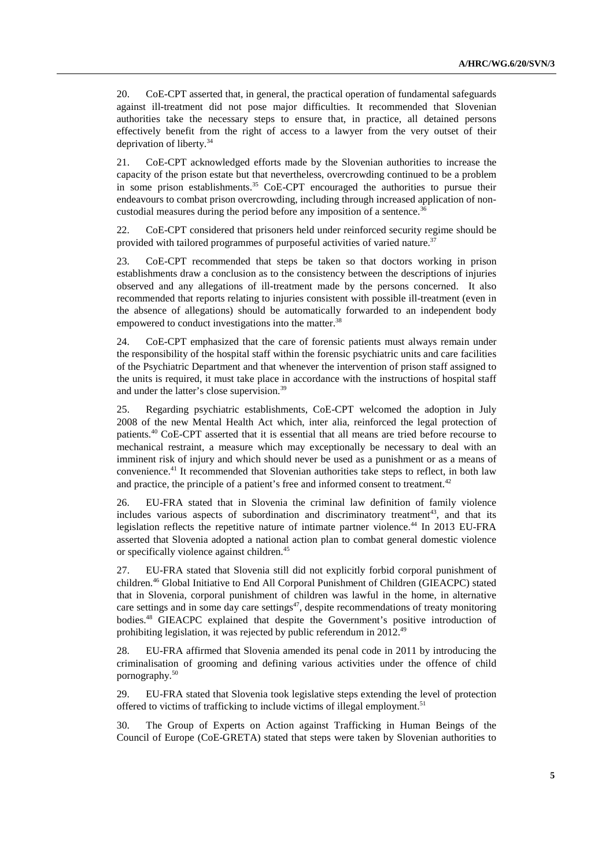20. CoE-CPT asserted that, in general, the practical operation of fundamental safeguards against ill-treatment did not pose major difficulties. It recommended that Slovenian authorities take the necessary steps to ensure that, in practice, all detained persons effectively benefit from the right of access to a lawyer from the very outset of their deprivation of liberty.34

21. CoE-CPT acknowledged efforts made by the Slovenian authorities to increase the capacity of the prison estate but that nevertheless, overcrowding continued to be a problem in some prison establishments.<sup>35</sup> CoE-CPT encouraged the authorities to pursue their endeavours to combat prison overcrowding, including through increased application of noncustodial measures during the period before any imposition of a sentence.<sup>36</sup>

22. CoE-CPT considered that prisoners held under reinforced security regime should be provided with tailored programmes of purposeful activities of varied nature.<sup>37</sup>

23. CoE-CPT recommended that steps be taken so that doctors working in prison establishments draw a conclusion as to the consistency between the descriptions of injuries observed and any allegations of ill-treatment made by the persons concerned. It also recommended that reports relating to injuries consistent with possible ill-treatment (even in the absence of allegations) should be automatically forwarded to an independent body empowered to conduct investigations into the matter.<sup>38</sup>

24. CoE-CPT emphasized that the care of forensic patients must always remain under the responsibility of the hospital staff within the forensic psychiatric units and care facilities of the Psychiatric Department and that whenever the intervention of prison staff assigned to the units is required, it must take place in accordance with the instructions of hospital staff and under the latter's close supervision.<sup>39</sup>

25. Regarding psychiatric establishments, CoE-CPT welcomed the adoption in July 2008 of the new Mental Health Act which, inter alia, reinforced the legal protection of patients.40 CoE-CPT asserted that it is essential that all means are tried before recourse to mechanical restraint, a measure which may exceptionally be necessary to deal with an imminent risk of injury and which should never be used as a punishment or as a means of convenience.<sup>41</sup> It recommended that Slovenian authorities take steps to reflect, in both law and practice, the principle of a patient's free and informed consent to treatment.<sup>42</sup>

26. EU-FRA stated that in Slovenia the criminal law definition of family violence includes various aspects of subordination and discriminatory treatment<sup>43</sup>, and that its legislation reflects the repetitive nature of intimate partner violence.<sup>44</sup> In 2013 EU-FRA asserted that Slovenia adopted a national action plan to combat general domestic violence or specifically violence against children.<sup>45</sup>

27. EU-FRA stated that Slovenia still did not explicitly forbid corporal punishment of children.46 Global Initiative to End All Corporal Punishment of Children (GIEACPC) stated that in Slovenia, corporal punishment of children was lawful in the home, in alternative care settings and in some day care settings<sup>47</sup>, despite recommendations of treaty monitoring bodies.48 GIEACPC explained that despite the Government's positive introduction of prohibiting legislation, it was rejected by public referendum in 2012.49

28. EU-FRA affirmed that Slovenia amended its penal code in 2011 by introducing the criminalisation of grooming and defining various activities under the offence of child pornography.<sup>50</sup>

29. EU-FRA stated that Slovenia took legislative steps extending the level of protection offered to victims of trafficking to include victims of illegal employment.<sup>51</sup>

30. The Group of Experts on Action against Trafficking in Human Beings of the Council of Europe (CoE-GRETA) stated that steps were taken by Slovenian authorities to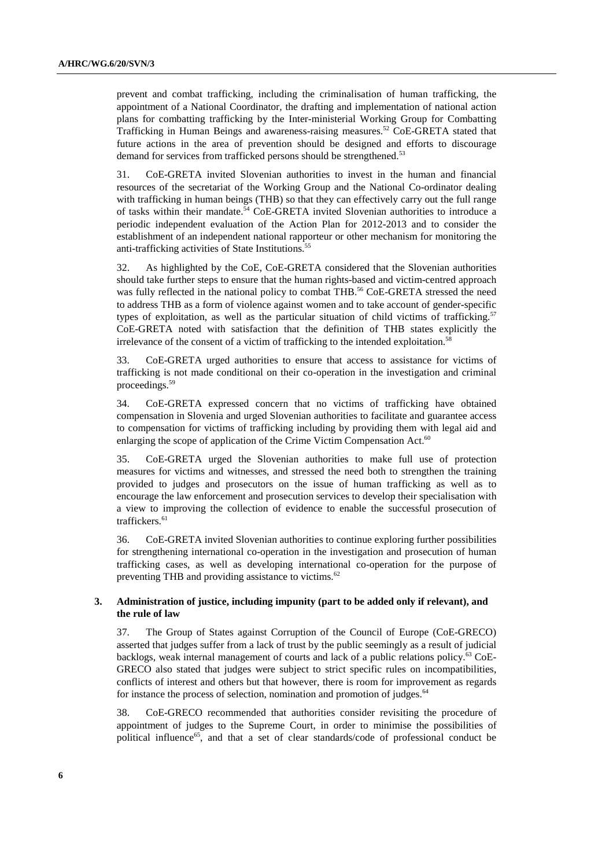prevent and combat trafficking, including the criminalisation of human trafficking, the appointment of a National Coordinator, the drafting and implementation of national action plans for combatting trafficking by the Inter-ministerial Working Group for Combatting Trafficking in Human Beings and awareness-raising measures.52 CoE-GRETA stated that future actions in the area of prevention should be designed and efforts to discourage demand for services from trafficked persons should be strengthened.<sup>53</sup>

31. CoE-GRETA invited Slovenian authorities to invest in the human and financial resources of the secretariat of the Working Group and the National Co-ordinator dealing with trafficking in human beings (THB) so that they can effectively carry out the full range of tasks within their mandate.<sup>54</sup> CoE-GRETA invited Slovenian authorities to introduce a periodic independent evaluation of the Action Plan for 2012-2013 and to consider the establishment of an independent national rapporteur or other mechanism for monitoring the anti-trafficking activities of State Institutions.<sup>55</sup>

32. As highlighted by the CoE, CoE-GRETA considered that the Slovenian authorities should take further steps to ensure that the human rights-based and victim-centred approach was fully reflected in the national policy to combat THB.<sup>56</sup> CoE-GRETA stressed the need to address THB as a form of violence against women and to take account of gender-specific types of exploitation, as well as the particular situation of child victims of trafficking.<sup>57</sup> CoE-GRETA noted with satisfaction that the definition of THB states explicitly the irrelevance of the consent of a victim of trafficking to the intended exploitation.<sup>58</sup>

33. CoE-GRETA urged authorities to ensure that access to assistance for victims of trafficking is not made conditional on their co-operation in the investigation and criminal proceedings.59

34. CoE-GRETA expressed concern that no victims of trafficking have obtained compensation in Slovenia and urged Slovenian authorities to facilitate and guarantee access to compensation for victims of trafficking including by providing them with legal aid and enlarging the scope of application of the Crime Victim Compensation Act.<sup>60</sup>

35. CoE-GRETA urged the Slovenian authorities to make full use of protection measures for victims and witnesses, and stressed the need both to strengthen the training provided to judges and prosecutors on the issue of human trafficking as well as to encourage the law enforcement and prosecution services to develop their specialisation with a view to improving the collection of evidence to enable the successful prosecution of traffickers.<sup>61</sup>

36. CoE-GRETA invited Slovenian authorities to continue exploring further possibilities for strengthening international co-operation in the investigation and prosecution of human trafficking cases, as well as developing international co-operation for the purpose of preventing THB and providing assistance to victims.<sup>62</sup>

## **3. Administration of justice, including impunity (part to be added only if relevant), and the rule of law**

37. The Group of States against Corruption of the Council of Europe (CoE-GRECO) asserted that judges suffer from a lack of trust by the public seemingly as a result of judicial backlogs, weak internal management of courts and lack of a public relations policy.<sup>63</sup> CoE-GRECO also stated that judges were subject to strict specific rules on incompatibilities, conflicts of interest and others but that however, there is room for improvement as regards for instance the process of selection, nomination and promotion of judges.<sup>64</sup>

38. CoE-GRECO recommended that authorities consider revisiting the procedure of appointment of judges to the Supreme Court, in order to minimise the possibilities of political influence<sup>65</sup>, and that a set of clear standards/code of professional conduct be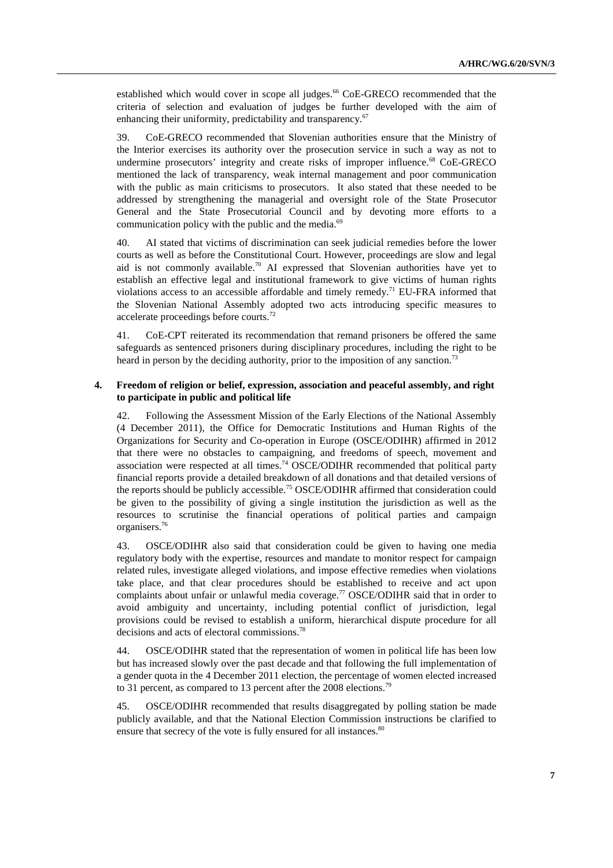established which would cover in scope all judges.<sup>66</sup> CoE-GRECO recommended that the criteria of selection and evaluation of judges be further developed with the aim of enhancing their uniformity, predictability and transparency.<sup>67</sup>

39. CoE-GRECO recommended that Slovenian authorities ensure that the Ministry of the Interior exercises its authority over the prosecution service in such a way as not to undermine prosecutors' integrity and create risks of improper influence.<sup>68</sup> CoE-GRECO mentioned the lack of transparency, weak internal management and poor communication with the public as main criticisms to prosecutors. It also stated that these needed to be addressed by strengthening the managerial and oversight role of the State Prosecutor General and the State Prosecutorial Council and by devoting more efforts to a communication policy with the public and the media.<sup>69</sup>

40. AI stated that victims of discrimination can seek judicial remedies before the lower courts as well as before the Constitutional Court. However, proceedings are slow and legal aid is not commonly available.<sup>70</sup> AI expressed that Slovenian authorities have yet to establish an effective legal and institutional framework to give victims of human rights violations access to an accessible affordable and timely remedy.<sup>71</sup> EU-FRA informed that the Slovenian National Assembly adopted two acts introducing specific measures to accelerate proceedings before courts.72

41. CoE-CPT reiterated its recommendation that remand prisoners be offered the same safeguards as sentenced prisoners during disciplinary procedures, including the right to be heard in person by the deciding authority, prior to the imposition of any sanction.<sup>73</sup>

#### **4. Freedom of religion or belief, expression, association and peaceful assembly, and right to participate in public and political life**

42. Following the Assessment Mission of the Early Elections of the National Assembly (4 December 2011), the Office for Democratic Institutions and Human Rights of the Organizations for Security and Co-operation in Europe (OSCE/ODIHR) affirmed in 2012 that there were no obstacles to campaigning, and freedoms of speech, movement and association were respected at all times.<sup>74</sup> OSCE/ODIHR recommended that political party financial reports provide a detailed breakdown of all donations and that detailed versions of the reports should be publicly accessible.75 OSCE/ODIHR affirmed that consideration could be given to the possibility of giving a single institution the jurisdiction as well as the resources to scrutinise the financial operations of political parties and campaign organisers.76

43. OSCE/ODIHR also said that consideration could be given to having one media regulatory body with the expertise, resources and mandate to monitor respect for campaign related rules, investigate alleged violations, and impose effective remedies when violations take place, and that clear procedures should be established to receive and act upon complaints about unfair or unlawful media coverage.<sup>77</sup> OSCE/ODIHR said that in order to avoid ambiguity and uncertainty, including potential conflict of jurisdiction, legal provisions could be revised to establish a uniform, hierarchical dispute procedure for all decisions and acts of electoral commissions.78

44. OSCE/ODIHR stated that the representation of women in political life has been low but has increased slowly over the past decade and that following the full implementation of a gender quota in the 4 December 2011 election, the percentage of women elected increased to 31 percent, as compared to 13 percent after the 2008 elections.<sup>79</sup>

45. OSCE/ODIHR recommended that results disaggregated by polling station be made publicly available, and that the National Election Commission instructions be clarified to ensure that secrecy of the vote is fully ensured for all instances.<sup>80</sup>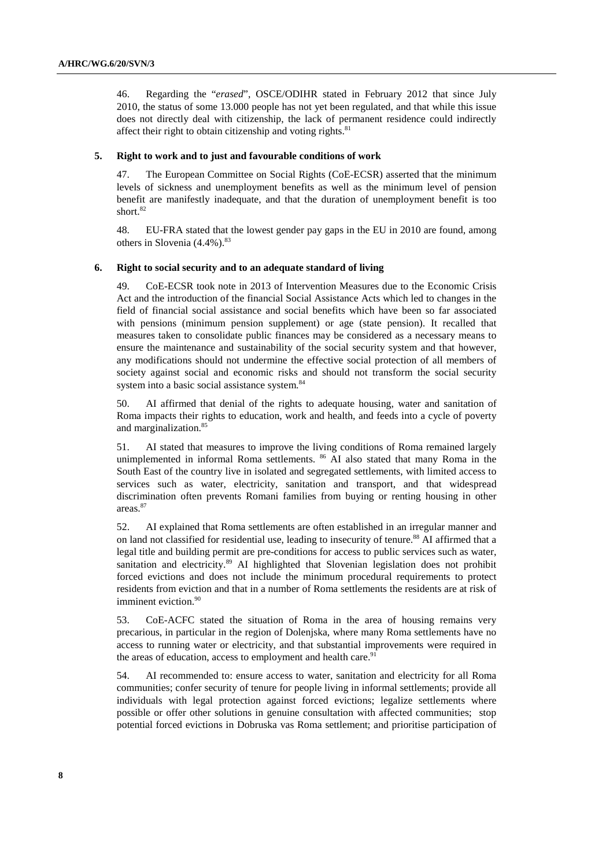46. Regarding the "*erased*", OSCE/ODIHR stated in February 2012 that since July 2010, the status of some 13.000 people has not yet been regulated, and that while this issue does not directly deal with citizenship, the lack of permanent residence could indirectly affect their right to obtain citizenship and voting rights.<sup>81</sup>

#### **5. Right to work and to just and favourable conditions of work**

47. The European Committee on Social Rights (CoE-ECSR) asserted that the minimum levels of sickness and unemployment benefits as well as the minimum level of pension benefit are manifestly inadequate, and that the duration of unemployment benefit is too short.<sup>82</sup>

48. EU-FRA stated that the lowest gender pay gaps in the EU in 2010 are found, among others in Slovenia  $(4.4\%)$ .<sup>83</sup>

#### **6. Right to social security and to an adequate standard of living**

49. CoE-ECSR took note in 2013 of Intervention Measures due to the Economic Crisis Act and the introduction of the financial Social Assistance Acts which led to changes in the field of financial social assistance and social benefits which have been so far associated with pensions (minimum pension supplement) or age (state pension). It recalled that measures taken to consolidate public finances may be considered as a necessary means to ensure the maintenance and sustainability of the social security system and that however, any modifications should not undermine the effective social protection of all members of society against social and economic risks and should not transform the social security system into a basic social assistance system.<sup>84</sup>

50. AI affirmed that denial of the rights to adequate housing, water and sanitation of Roma impacts their rights to education, work and health, and feeds into a cycle of poverty and marginalization.<sup>85</sup>

51. AI stated that measures to improve the living conditions of Roma remained largely unimplemented in informal Roma settlements. <sup>86</sup> AI also stated that many Roma in the South East of the country live in isolated and segregated settlements, with limited access to services such as water, electricity, sanitation and transport, and that widespread discrimination often prevents Romani families from buying or renting housing in other areas.<sup>87</sup>

52. AI explained that Roma settlements are often established in an irregular manner and on land not classified for residential use, leading to insecurity of tenure.<sup>88</sup> AI affirmed that a legal title and building permit are pre-conditions for access to public services such as water, sanitation and electricity.<sup>89</sup> AI highlighted that Slovenian legislation does not prohibit forced evictions and does not include the minimum procedural requirements to protect residents from eviction and that in a number of Roma settlements the residents are at risk of imminent eviction.<sup>90</sup>

53. CoE-ACFC stated the situation of Roma in the area of housing remains very precarious, in particular in the region of Dolenjska, where many Roma settlements have no access to running water or electricity, and that substantial improvements were required in the areas of education, access to employment and health care.<sup>91</sup>

54. AI recommended to: ensure access to water, sanitation and electricity for all Roma communities; confer security of tenure for people living in informal settlements; provide all individuals with legal protection against forced evictions; legalize settlements where possible or offer other solutions in genuine consultation with affected communities; stop potential forced evictions in Dobruska vas Roma settlement; and prioritise participation of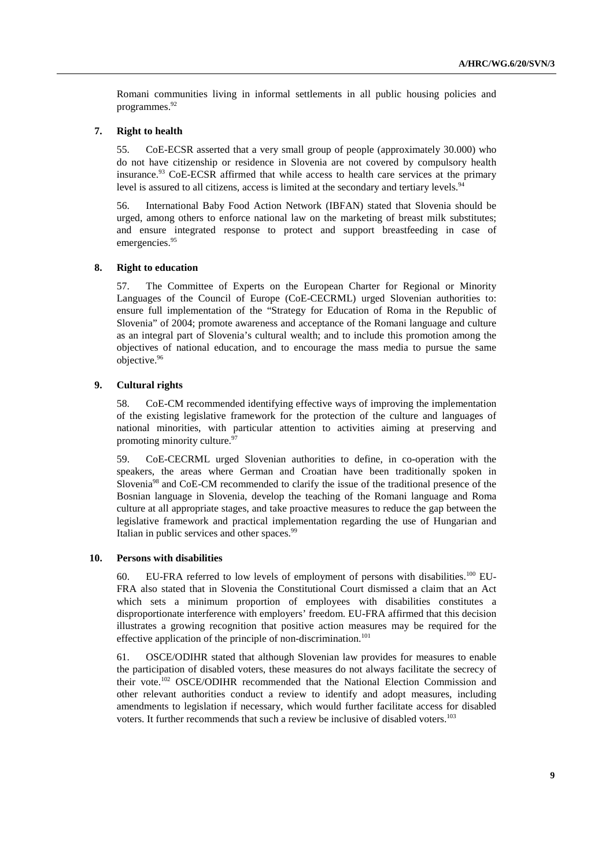Romani communities living in informal settlements in all public housing policies and programmes.<sup>92</sup>

### **7. Right to health**

55. CoE-ECSR asserted that a very small group of people (approximately 30.000) who do not have citizenship or residence in Slovenia are not covered by compulsory health insurance.<sup>93</sup> CoE-ECSR affirmed that while access to health care services at the primary level is assured to all citizens, access is limited at the secondary and tertiary levels.  $94$ 

56. International Baby Food Action Network (IBFAN) stated that Slovenia should be urged, among others to enforce national law on the marketing of breast milk substitutes; and ensure integrated response to protect and support breastfeeding in case of emergencies.<sup>95</sup>

#### **8. Right to education**

57. The Committee of Experts on the European Charter for Regional or Minority Languages of the Council of Europe (CoE-CECRML) urged Slovenian authorities to: ensure full implementation of the "Strategy for Education of Roma in the Republic of Slovenia" of 2004; promote awareness and acceptance of the Romani language and culture as an integral part of Slovenia's cultural wealth; and to include this promotion among the objectives of national education, and to encourage the mass media to pursue the same objective.<sup>96</sup>

#### **9. Cultural rights**

58. CoE-CM recommended identifying effective ways of improving the implementation of the existing legislative framework for the protection of the culture and languages of national minorities, with particular attention to activities aiming at preserving and promoting minority culture. $97$ 

59. CoE-CECRML urged Slovenian authorities to define, in co-operation with the speakers, the areas where German and Croatian have been traditionally spoken in Slovenia<sup>98</sup> and CoE-CM recommended to clarify the issue of the traditional presence of the Bosnian language in Slovenia, develop the teaching of the Romani language and Roma culture at all appropriate stages, and take proactive measures to reduce the gap between the legislative framework and practical implementation regarding the use of Hungarian and Italian in public services and other spaces.<sup>99</sup>

#### **10. Persons with disabilities**

60. EU-FRA referred to low levels of employment of persons with disabilities.100 EU-FRA also stated that in Slovenia the Constitutional Court dismissed a claim that an Act which sets a minimum proportion of employees with disabilities constitutes a disproportionate interference with employers' freedom. EU-FRA affirmed that this decision illustrates a growing recognition that positive action measures may be required for the effective application of the principle of non-discrimination.<sup>101</sup>

61. OSCE/ODIHR stated that although Slovenian law provides for measures to enable the participation of disabled voters, these measures do not always facilitate the secrecy of their vote.102 OSCE/ODIHR recommended that the National Election Commission and other relevant authorities conduct a review to identify and adopt measures, including amendments to legislation if necessary, which would further facilitate access for disabled voters. It further recommends that such a review be inclusive of disabled voters.<sup>103</sup>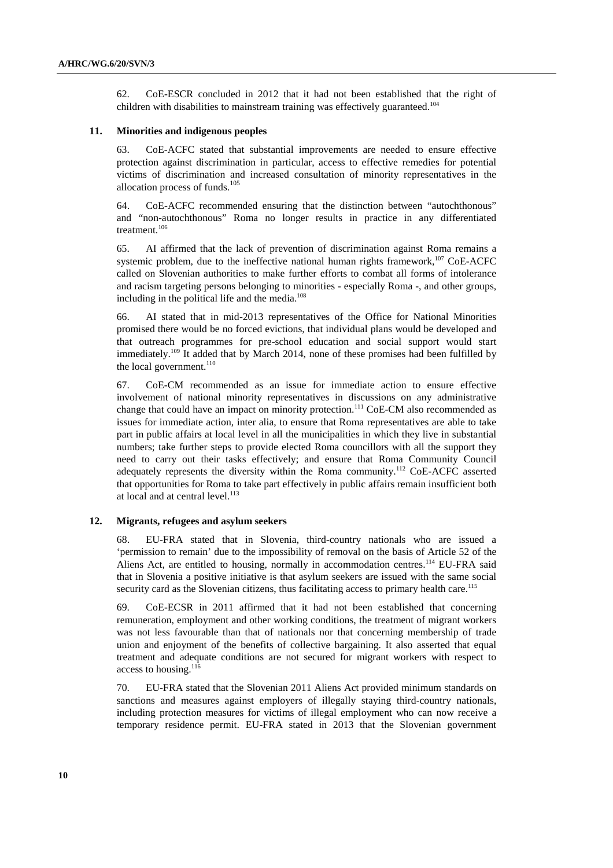62. CoE-ESCR concluded in 2012 that it had not been established that the right of children with disabilities to mainstream training was effectively guaranteed.<sup>104</sup>

#### **11. Minorities and indigenous peoples**

63. CoE-ACFC stated that substantial improvements are needed to ensure effective protection against discrimination in particular, access to effective remedies for potential victims of discrimination and increased consultation of minority representatives in the allocation process of funds.<sup>105</sup>

64. CoE-ACFC recommended ensuring that the distinction between "autochthonous" and "non-autochthonous" Roma no longer results in practice in any differentiated treatment.<sup>106</sup>

65. AI affirmed that the lack of prevention of discrimination against Roma remains a systemic problem, due to the ineffective national human rights framework, $107 \text{ CoE-ACFC}$ called on Slovenian authorities to make further efforts to combat all forms of intolerance and racism targeting persons belonging to minorities - especially Roma -, and other groups, including in the political life and the media.<sup>108</sup>

66. AI stated that in mid-2013 representatives of the Office for National Minorities promised there would be no forced evictions, that individual plans would be developed and that outreach programmes for pre-school education and social support would start immediately.<sup>109</sup> It added that by March 2014, none of these promises had been fulfilled by the local government.<sup>110</sup>

67. CoE-CM recommended as an issue for immediate action to ensure effective involvement of national minority representatives in discussions on any administrative change that could have an impact on minority protection.<sup>111</sup> CoE-CM also recommended as issues for immediate action, inter alia, to ensure that Roma representatives are able to take part in public affairs at local level in all the municipalities in which they live in substantial numbers; take further steps to provide elected Roma councillors with all the support they need to carry out their tasks effectively; and ensure that Roma Community Council adequately represents the diversity within the Roma community.112 CoE-ACFC asserted that opportunities for Roma to take part effectively in public affairs remain insufficient both at local and at central level.<sup>113</sup>

#### **12. Migrants, refugees and asylum seekers**

68. EU-FRA stated that in Slovenia, third-country nationals who are issued a 'permission to remain' due to the impossibility of removal on the basis of Article 52 of the Aliens Act, are entitled to housing, normally in accommodation centres.114 EU-FRA said that in Slovenia a positive initiative is that asylum seekers are issued with the same social security card as the Slovenian citizens, thus facilitating access to primary health care.<sup>115</sup>

69. CoE-ECSR in 2011 affirmed that it had not been established that concerning remuneration, employment and other working conditions, the treatment of migrant workers was not less favourable than that of nationals nor that concerning membership of trade union and enjoyment of the benefits of collective bargaining. It also asserted that equal treatment and adequate conditions are not secured for migrant workers with respect to access to housing.<sup>116</sup>

70. EU-FRA stated that the Slovenian 2011 Aliens Act provided minimum standards on sanctions and measures against employers of illegally staying third-country nationals, including protection measures for victims of illegal employment who can now receive a temporary residence permit. EU-FRA stated in 2013 that the Slovenian government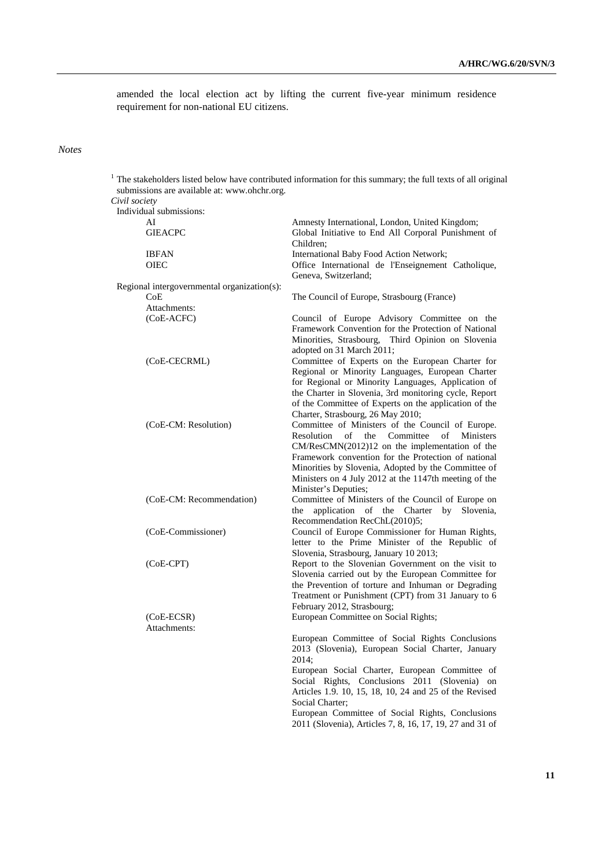amended the local election act by lifting the current five-year minimum residence requirement for non-national EU citizens.

#### *Notes*

 $1$ . The stakeholders listed below have contributed information for this summary; the full texts of all original submissions are available at: www.ohchr.org.  *Civil society*  Individual submissions: AI Amnesty International, London, United Kingdom;<br>
Gleace Global Initiative to End All Corporal Punishmen Global Initiative to End All Corporal Punishment of Children; IBFAN International Baby Food Action Network; OIEC Office International de l'Enseignement Catholique, Geneva, Switzerland; Regional intergovernmental organization(s): CoE The Council of Europe, Strasbourg (France) Attachments: (CoE-ACFC) Council of Europe Advisory Committee on the Framework Convention for the Protection of National Minorities, Strasbourg, Third Opinion on Slovenia adopted on 31 March 2011; (CoE-CECRML) Committee of Experts on the European Charter for Regional or Minority Languages, European Charter for Regional or Minority Languages, Application of the Charter in Slovenia, 3rd monitoring cycle, Report of the Committee of Experts on the application of the Charter, Strasbourg, 26 May 2010; (CoE-CM: Resolution) Committee of Ministers of the Council of Europe. Resolution of the Committee of Ministers CM/ResCMN(2012)12 on the implementation of the Framework convention for the Protection of national Minorities by Slovenia, Adopted by the Committee of Ministers on 4 July 2012 at the 1147th meeting of the Minister's Deputies; (CoE-CM: Recommendation) Committee of Ministers of the Council of Europe on the application of the Charter by Slovenia, Recommendation RecChL(2010)5; (CoE-Commissioner) Council of Europe Commissioner for Human Rights, letter to the Prime Minister of the Republic of Slovenia, Strasbourg, January 10 2013; (CoE-CPT) Report to the Slovenian Government on the visit to Slovenia carried out by the European Committee for the Prevention of torture and Inhuman or Degrading Treatment or Punishment (CPT) from 31 January to 6 February 2012, Strasbourg; (CoE-ECSR) European Committee on Social Rights; Attachments: European Committee of Social Rights Conclusions 2013 (Slovenia), European Social Charter, January 2014; European Social Charter, European Committee of Social Rights, Conclusions 2011 (Slovenia) on Articles 1.9. 10, 15, 18, 10, 24 and 25 of the Revised Social Charter; European Committee of Social Rights, Conclusions 2011 (Slovenia), Articles 7, 8, 16, 17, 19, 27 and 31 of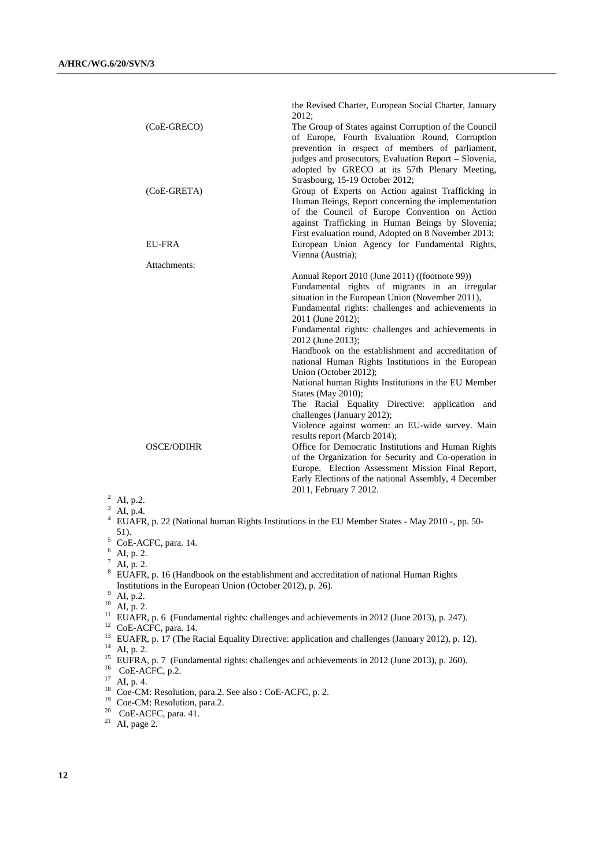|                   | the Revised Charter, European Social Charter, January<br>2012;                                                                                                                                                                                                                                                                                                                                                                                                                                                                                                                                                                                                  |
|-------------------|-----------------------------------------------------------------------------------------------------------------------------------------------------------------------------------------------------------------------------------------------------------------------------------------------------------------------------------------------------------------------------------------------------------------------------------------------------------------------------------------------------------------------------------------------------------------------------------------------------------------------------------------------------------------|
| (CoE-GRECO)       | The Group of States against Corruption of the Council<br>of Europe, Fourth Evaluation Round, Corruption<br>prevention in respect of members of parliament,                                                                                                                                                                                                                                                                                                                                                                                                                                                                                                      |
|                   | judges and prosecutors, Evaluation Report - Slovenia,<br>adopted by GRECO at its 57th Plenary Meeting,<br>Strasbourg, 15-19 October 2012;                                                                                                                                                                                                                                                                                                                                                                                                                                                                                                                       |
| (CoE-GRETA)       | Group of Experts on Action against Trafficking in<br>Human Beings, Report concerning the implementation<br>of the Council of Europe Convention on Action<br>against Trafficking in Human Beings by Slovenia;<br>First evaluation round, Adopted on 8 November 2013;                                                                                                                                                                                                                                                                                                                                                                                             |
| <b>EU-FRA</b>     | European Union Agency for Fundamental Rights,<br>Vienna (Austria);                                                                                                                                                                                                                                                                                                                                                                                                                                                                                                                                                                                              |
| Attachments:      | Annual Report 2010 (June 2011) ((footnote 99))<br>Fundamental rights of migrants in an irregular<br>situation in the European Union (November 2011),<br>Fundamental rights: challenges and achievements in<br>2011 (June 2012);<br>Fundamental rights: challenges and achievements in<br>2012 (June 2013);<br>Handbook on the establishment and accreditation of<br>national Human Rights Institutions in the European<br>Union (October 2012);<br>National human Rights Institutions in the EU Member<br>States (May 2010);<br>The Racial Equality Directive: application and<br>challenges (January 2012);<br>Violence against women: an EU-wide survey. Main |
| <b>OSCE/ODIHR</b> | results report (March 2014);<br>Office for Democratic Institutions and Human Rights<br>of the Organization for Security and Co-operation in<br>Europe, Election Assessment Mission Final Report,<br>Early Elections of the national Assembly, 4 December<br>2011, February 7 2012.                                                                                                                                                                                                                                                                                                                                                                              |
| 2<br>AL $n.2$     |                                                                                                                                                                                                                                                                                                                                                                                                                                                                                                                                                                                                                                                                 |

# <sup>2</sup> AI, p.

 $^3$  AI, p.4.

4 EUAFR, p. 22 (National human Rights Institutions in the EU Member States - May 2010 -, pp. 50- 5 1).<br><sup>5</sup> CoE-ACFC, para. 14.

 $6$  AI, p. 2.

 $^7$  AI, p. 2.

<sup>8</sup> EUAFR, p. 16 (Handbook on the establishment and accreditation of national Human Rights Institutions in the European Union (October 2012), p. 26).

 $9\frac{\text{m}}{\text{Al}, \text{p.2}}$ 

 $10$  AI, p. 2.

 $12$  CoE-ACFC, para. 14.

- <sup>13</sup> EUAFR, p. 17 (The Racial Equality Directive: application and challenges (January 2012), p. 12).  $^{14}$  AI, p. 2.
- <sup>15</sup> EUFRA, p. 7 (Fundamental rights: challenges and achievements in 2012 (June 2013), p. 260).
- $^{16}$  CoE-ACFC, p.2.

- $^{18}$  Coe-CM: Resolution, para.2. See also : CoE-ACFC, p. 2.
- <sup>19</sup> Coe-CM: Resolution, para.2.
- <sup>20</sup> CoE-ACFC, para. 41.
- $21$  AI, page 2.

<sup>&</sup>lt;sup>11</sup> EUAFR, p. 6 (Fundamental rights: challenges and achievements in 2012 (June 2013), p. 247).

 $17$  AI, p. 4.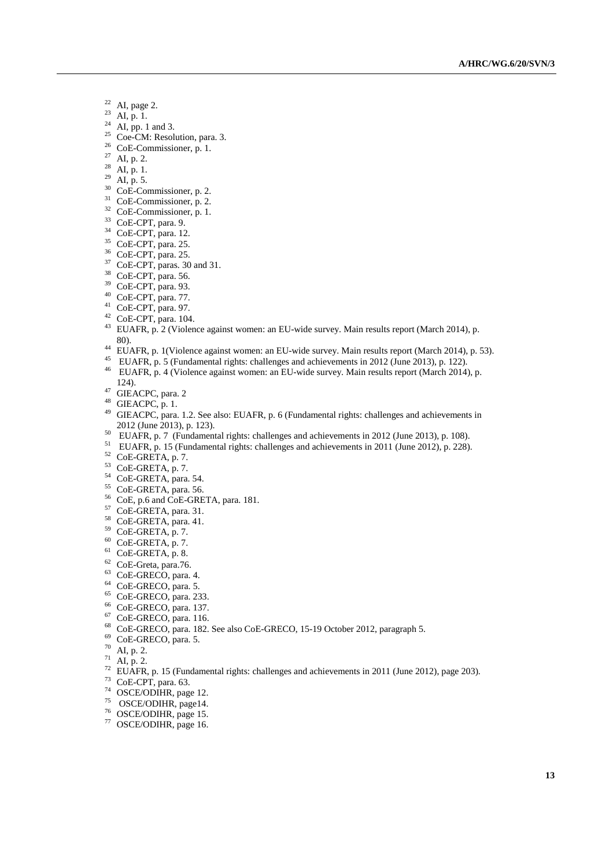- $22$  AI, page 2.
- <sup>23</sup> AI, p. 1.
- $^{24}$  AI, pp. 1 and 3.
- $25$  Coe-CM: Resolution, para. 3.
- 26 CoE-Commissioner, p. 1.
- <sup>27</sup> AI, p. 2.
- $28$  AI, p. 1.
- $^{29}$  AI, p. 5.
- <sup>30</sup> CoE-Commissioner, p. 2.
- 31 CoE-Commissioner, p. 2.
- 32 CoE-Commissioner, p. 1.
- 33 CoE-CPT, para. 9.
- 34 CoE-CPT, para. 12.
- 35 CoE-CPT, para. 25.
- 36 CoE-CPT, para. 25.
- <sup>37</sup> CoE-CPT, paras. 30 and 31.
- 38 CoE-CPT, para. 56.
- 39 CoE-CPT, para. 93.
- 40 CoE-CPT, para. 77.
- 41 CoE-CPT, para. 97.
- $42$  CoE-CPT, para. 104.
- <sup>43</sup> EUAFR, p. 2 (Violence against women: an EU-wide survey. Main results report (March 2014), p.
- 80). 44 EUAFR, p. 1(Violence against women: an EU-wide survey. Main results report (March 2014), p. 53).
- 45 EUAFR, p. 5 (Fundamental rights: challenges and achievements in 2012 (June 2013), p. 122).
- <sup>46</sup> EUAFR, p. 4 (Violence against women: an EU-wide survey. Main results report (March 2014), p. 124).<br>47 GIEACPC, para. 2
- 
- 48 GIEACPC, p. 1.
- <sup>49</sup> GIEACPC, para. 1.2. See also: EUAFR, p. 6 (Fundamental rights: challenges and achievements in 2012 (June 2013), p. 123).
- <sup>50</sup> EUAFR, p. 7 (Fundamental rights: challenges and achievements in 2012 (June 2013), p. 108).
- 51 EUAFR, p. 15 (Fundamental rights: challenges and achievements in 2011 (June 2012), p. 228).
- 52 CoE-GRETA, p. 7.
- 53 CoE-GRETA, p. 7.
- $54$  CoE-GRETA, para. 54.
- 55 CoE-GRETA, para. 56.
- 56 CoE, p.6 and CoE-GRETA, para. 181.
- 57 CoE-GRETA, para. 31.
- 58 CoE-GRETA, para. 41.
- 59 CoE-GRETA, p. 7.
- 60 CoE-GRETA, p. 7.
- $61$  CoE-GRETA, p. 8.
- 62 CoE-Greta, para.76.
- 63 CoE-GRECO, para. 4.
- 64 CoE-GRECO, para. 5.
- 65 CoE-GRECO, para. 233.
- 66 CoE-GRECO, para. 137.
- 67 CoE-GRECO, para. 116.
- 
- 68 CoE-GRECO, para. 182. See also CoE-GRECO, 15-19 October 2012, paragraph 5.
- 69 CoE-GRECO, para. 5.
- $70$  AI, p. 2.
- $71$  AI, p. 2.
- <sup>72</sup> EUAFR, p. 15 (Fundamental rights: challenges and achievements in 2011 (June 2012), page 203).
- 73 CoE-CPT, para. 63.
- 74 OSCE/ODIHR, page 12.
- 75 OSCE/ODIHR, page14.
- 76 OSCE/ODIHR, page 15.
- 77 OSCE/ODIHR, page 16.